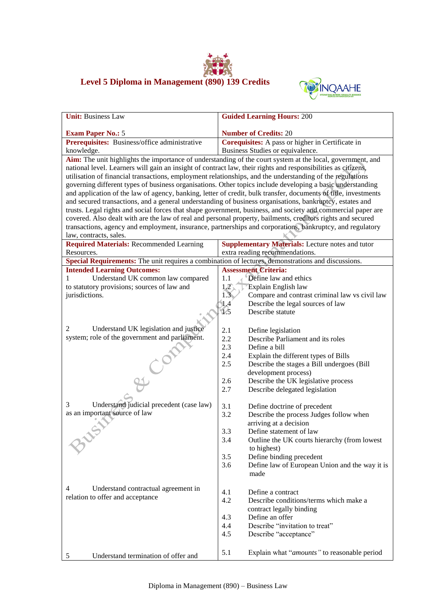



| <b>Unit: Business Law</b>                                                                                       | <b>Guided Learning Hours: 200</b>                                                                           |  |  |  |
|-----------------------------------------------------------------------------------------------------------------|-------------------------------------------------------------------------------------------------------------|--|--|--|
| <b>Exam Paper No.: 5</b>                                                                                        | <b>Number of Credits: 20</b>                                                                                |  |  |  |
| Prerequisites: Business/office administrative                                                                   | Corequisites: A pass or higher in Certificate in                                                            |  |  |  |
| knowledge.                                                                                                      | Business Studies or equivalence.                                                                            |  |  |  |
|                                                                                                                 | Aim: The unit highlights the importance of understanding of the court system at the local, government, and  |  |  |  |
| national level. Learners will gain an insight of contract law, their rights and responsibilities as citizens,   |                                                                                                             |  |  |  |
| utilisation of financial transactions, employment relationships, and the understanding of the regulations       |                                                                                                             |  |  |  |
| governing different types of business organisations. Other topics include developing a basic understanding      |                                                                                                             |  |  |  |
| and application of the law of agency, banking, letter of credit, bulk transfer, documents of title, investments |                                                                                                             |  |  |  |
| and secured transactions, and a general understanding of business organisations, bankruptcy, estates and        |                                                                                                             |  |  |  |
| trusts. Legal rights and social forces that shape government, business, and society and commercial paper are    |                                                                                                             |  |  |  |
|                                                                                                                 | covered. Also dealt with are the law of real and personal property, bailments, creditors rights and secured |  |  |  |
| law, contracts, sales.                                                                                          | transactions, agency and employment, insurance, partnerships and corporations, bankruptcy, and regulatory   |  |  |  |
| <b>Required Materials: Recommended Learning</b>                                                                 | <b>Supplementary Materials:</b> Lecture notes and tutor                                                     |  |  |  |
| Resources.                                                                                                      | extra reading recommendations.                                                                              |  |  |  |
| Special Requirements: The unit requires a combination of lectures, demonstrations and discussions.              |                                                                                                             |  |  |  |
| <b>Intended Learning Outcomes:</b>                                                                              | <b>Assessment Criteria:</b>                                                                                 |  |  |  |
| Understand UK common law compared<br>1                                                                          | 1.1<br>Define law and ethics                                                                                |  |  |  |
| to statutory provisions; sources of law and                                                                     | $1.2^\circ$<br>Explain English law                                                                          |  |  |  |
| jurisdictions.                                                                                                  | 1.3<br>Compare and contrast criminal law vs civil law                                                       |  |  |  |
|                                                                                                                 | Describe the legal sources of law<br>1.4                                                                    |  |  |  |
|                                                                                                                 | 1/5<br>Describe statute                                                                                     |  |  |  |
|                                                                                                                 |                                                                                                             |  |  |  |
| $\overline{c}$<br>Understand UK legislation and justice                                                         | 2.1<br>Define legislation                                                                                   |  |  |  |
| system; role of the government and parliament.                                                                  | 2.2<br>Describe Parliament and its roles                                                                    |  |  |  |
|                                                                                                                 | 2.3<br>Define a bill                                                                                        |  |  |  |
|                                                                                                                 | 2.4<br>Explain the different types of Bills                                                                 |  |  |  |
|                                                                                                                 | 2.5<br>Describe the stages a Bill undergoes (Bill<br>development process)                                   |  |  |  |
|                                                                                                                 | Describe the UK legislative process<br>2.6                                                                  |  |  |  |
| H Cor                                                                                                           | 2.7<br>Describe delegated legislation                                                                       |  |  |  |
|                                                                                                                 |                                                                                                             |  |  |  |
| Understand judicial precedent (case law)<br>3                                                                   | 3.1<br>Define doctrine of precedent                                                                         |  |  |  |
| as an important source of law                                                                                   | 3.2<br>Describe the process Judges follow when                                                              |  |  |  |
|                                                                                                                 | arriving at a decision                                                                                      |  |  |  |
|                                                                                                                 | Define statement of law<br>3.3                                                                              |  |  |  |
|                                                                                                                 | 3.4<br>Outline the UK courts hierarchy (from lowest                                                         |  |  |  |
|                                                                                                                 | to highest)                                                                                                 |  |  |  |
|                                                                                                                 | 3.5<br>Define binding precedent                                                                             |  |  |  |
|                                                                                                                 | 3.6<br>Define law of European Union and the way it is                                                       |  |  |  |
|                                                                                                                 | made                                                                                                        |  |  |  |
| 4<br>Understand contractual agreement in                                                                        |                                                                                                             |  |  |  |
| relation to offer and acceptance                                                                                | 4.1<br>Define a contract<br>Describe conditions/terms which make a                                          |  |  |  |
|                                                                                                                 | 4.2<br>contract legally binding                                                                             |  |  |  |
|                                                                                                                 | Define an offer<br>4.3                                                                                      |  |  |  |
|                                                                                                                 | 4.4<br>Describe "invitation to treat"                                                                       |  |  |  |
|                                                                                                                 | 4.5<br>Describe "acceptance"                                                                                |  |  |  |
|                                                                                                                 |                                                                                                             |  |  |  |
| Understand termination of offer and<br>5                                                                        | 5.1<br>Explain what "amounts" to reasonable period                                                          |  |  |  |
|                                                                                                                 |                                                                                                             |  |  |  |